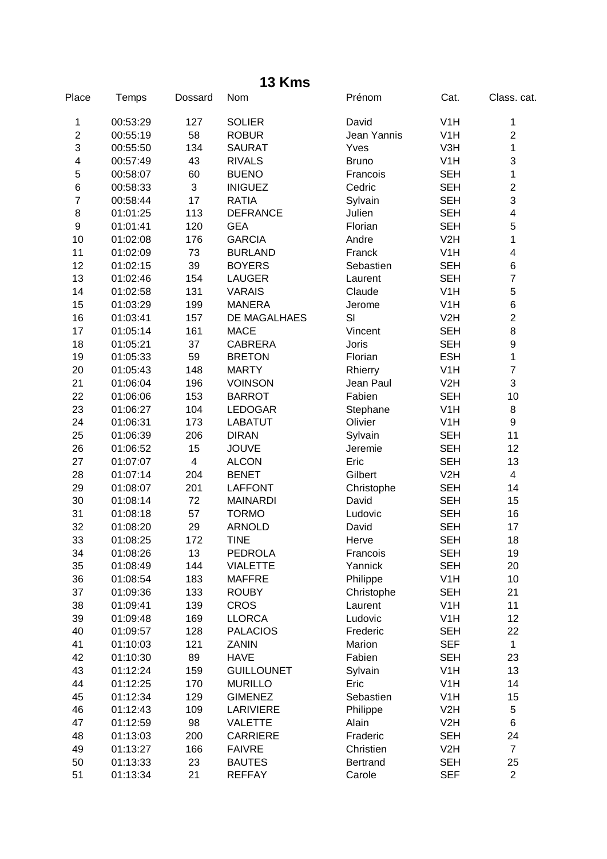| Place                   | Temps    | Dossard                 | Nom                 | Prénom       | Cat.             | Class. cat.             |
|-------------------------|----------|-------------------------|---------------------|--------------|------------------|-------------------------|
| 1                       | 00:53:29 | 127                     | <b>SOLIER</b>       | David        | V <sub>1</sub> H | 1                       |
| $\overline{c}$          | 00:55:19 | 58                      | <b>ROBUR</b>        | Jean Yannis  | V <sub>1</sub> H | $\overline{c}$          |
| 3                       | 00:55:50 | 134                     | <b>SAURAT</b>       | Yves         | V3H              | 1                       |
| $\overline{\mathbf{4}}$ | 00:57:49 | 43                      | <b>RIVALS</b>       | <b>Bruno</b> | V1H              | 3                       |
| 5                       | 00:58:07 | 60                      | <b>BUENO</b>        | Francois     | <b>SEH</b>       | 1                       |
| 6                       | 00:58:33 | 3                       | <b>INIGUEZ</b>      | Cedric       | <b>SEH</b>       | $\overline{c}$          |
| $\overline{7}$          | 00:58:44 | 17                      | <b>RATIA</b>        | Sylvain      | <b>SEH</b>       | 3                       |
| 8                       | 01:01:25 | 113                     | <b>DEFRANCE</b>     | Julien       | <b>SEH</b>       | $\overline{\mathbf{4}}$ |
| $\boldsymbol{9}$        | 01:01:41 | 120                     | <b>GEA</b>          | Florian      | <b>SEH</b>       | 5                       |
| 10                      | 01:02:08 | 176                     | <b>GARCIA</b>       | Andre        | V <sub>2</sub> H | $\mathbf{1}$            |
| 11                      | 01:02:09 | 73                      | <b>BURLAND</b>      | Franck       | V <sub>1</sub> H | 4                       |
| 12                      | 01:02:15 | 39                      | <b>BOYERS</b>       | Sebastien    | <b>SEH</b>       | 6                       |
| 13                      | 01:02:46 | 154                     | <b>LAUGER</b>       | Laurent      | <b>SEH</b>       | $\overline{7}$          |
| 14                      | 01:02:58 | 131                     | <b>VARAIS</b>       | Claude       | V <sub>1</sub> H | 5                       |
| 15                      | 01:03:29 | 199                     | <b>MANERA</b>       | Jerome       | V <sub>1</sub> H | 6                       |
| 16                      | 01:03:41 | 157                     | <b>DE MAGALHAES</b> | SI           | V2H              | $\overline{2}$          |
| 17                      | 01:05:14 | 161                     | <b>MACE</b>         | Vincent      | <b>SEH</b>       | 8                       |
| 18                      | 01:05:21 | 37                      | <b>CABRERA</b>      | Joris        | <b>SEH</b>       | 9                       |
| 19                      | 01:05:33 | 59                      | <b>BRETON</b>       | Florian      | <b>ESH</b>       | 1                       |
| 20                      | 01:05:43 | 148                     | <b>MARTY</b>        | Rhierry      | V <sub>1</sub> H | $\overline{7}$          |
| 21                      | 01:06:04 | 196                     | <b>VOINSON</b>      | Jean Paul    | V <sub>2</sub> H | 3                       |
| 22                      | 01:06:06 | 153                     | <b>BARROT</b>       | Fabien       | <b>SEH</b>       | 10                      |
| 23                      | 01:06:27 | 104                     | <b>LEDOGAR</b>      | Stephane     | V <sub>1</sub> H | 8                       |
| 24                      | 01:06:31 | 173                     | <b>LABATUT</b>      | Olivier      | V <sub>1</sub> H | 9                       |
| 25                      | 01:06:39 | 206                     | <b>DIRAN</b>        | Sylvain      | <b>SEH</b>       | 11                      |
| 26                      | 01:06:52 | 15                      | <b>JOUVE</b>        | Jeremie      | <b>SEH</b>       | 12                      |
| 27                      | 01:07:07 | $\overline{\mathbf{4}}$ | <b>ALCON</b>        | Eric         | <b>SEH</b>       | 13                      |
| 28                      | 01:07:14 | 204                     | <b>BENET</b>        | Gilbert      | V <sub>2</sub> H | $\overline{4}$          |
| 29                      | 01:08:07 | 201                     | <b>LAFFONT</b>      | Christophe   | <b>SEH</b>       | 14                      |
| 30                      | 01:08:14 | 72                      | <b>MAINARDI</b>     | David        | <b>SEH</b>       | 15                      |
| 31                      | 01:08:18 | 57                      | <b>TORMO</b>        | Ludovic      | <b>SEH</b>       | 16                      |
| 32                      | 01:08:20 | 29                      | <b>ARNOLD</b>       | David        | <b>SEH</b>       | 17                      |
| 33                      | 01:08:25 | 172                     | <b>TINE</b>         | Herve        | <b>SEH</b>       | 18                      |
| 34                      | 01:08:26 | 13                      | <b>PEDROLA</b>      | Francois     | <b>SEH</b>       | 19                      |
| 35                      | 01:08:49 | 144                     | <b>VIALETTE</b>     | Yannick      | <b>SEH</b>       | 20                      |
| 36                      | 01:08:54 | 183                     | <b>MAFFRE</b>       | Philippe     | V <sub>1</sub> H | 10                      |
| 37                      | 01:09:36 | 133                     | <b>ROUBY</b>        | Christophe   | <b>SEH</b>       | 21                      |
| 38                      | 01:09:41 | 139                     | <b>CROS</b>         | Laurent      | V <sub>1</sub> H | 11                      |
| 39                      | 01:09:48 | 169                     | <b>LLORCA</b>       | Ludovic      | V <sub>1</sub> H | 12                      |
| 40                      | 01:09:57 | 128                     | <b>PALACIOS</b>     | Frederic     | <b>SEH</b>       | 22                      |
| 41                      | 01:10:03 | 121                     | <b>ZANIN</b>        | Marion       | <b>SEF</b>       | $\mathbf{1}$            |
| 42                      | 01:10:30 | 89                      | <b>HAVE</b>         | Fabien       | <b>SEH</b>       | 23                      |
| 43                      | 01:12:24 | 159                     | <b>GUILLOUNET</b>   | Sylvain      | V <sub>1</sub> H | 13                      |
| 44                      | 01:12:25 | 170                     | <b>MURILLO</b>      | Eric         | V <sub>1</sub> H | 14                      |
| 45                      | 01:12:34 | 129                     | <b>GIMENEZ</b>      | Sebastien    | V <sub>1</sub> H | 15                      |
| 46                      | 01:12:43 | 109                     | <b>LARIVIERE</b>    | Philippe     | V <sub>2</sub> H | 5                       |
| 47                      | 01:12:59 | 98                      | <b>VALETTE</b>      | Alain        | V2H              | 6                       |
| 48                      | 01:13:03 | 200                     | <b>CARRIERE</b>     | Fraderic     | <b>SEH</b>       | 24                      |
| 49                      | 01:13:27 | 166                     | <b>FAIVRE</b>       | Christien    | V <sub>2</sub> H | $\overline{7}$          |
| 50                      | 01:13:33 | 23                      | <b>BAUTES</b>       | Bertrand     | <b>SEH</b>       | 25                      |

01:13:34 21 REFFAY Carole SEF 2

**13 Kms**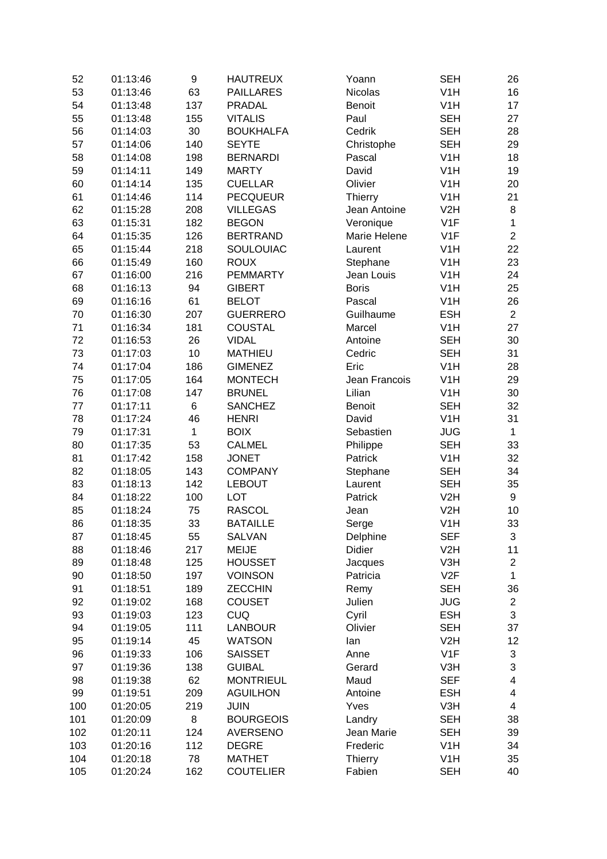| 52  | 01:13:46 | 9            | <b>HAUTREUX</b>  | Yoann          | <b>SEH</b>       | 26                      |
|-----|----------|--------------|------------------|----------------|------------------|-------------------------|
| 53  | 01:13:46 | 63           | <b>PAILLARES</b> | <b>Nicolas</b> | V1H              | 16                      |
| 54  | 01:13:48 | 137          | <b>PRADAL</b>    | <b>Benoit</b>  | V1H              | 17                      |
| 55  | 01:13:48 | 155          | <b>VITALIS</b>   | Paul           | <b>SEH</b>       | 27                      |
| 56  | 01:14:03 | 30           | <b>BOUKHALFA</b> | Cedrik         | <b>SEH</b>       | 28                      |
| 57  | 01:14:06 | 140          | <b>SEYTE</b>     | Christophe     | <b>SEH</b>       | 29                      |
| 58  | 01:14:08 | 198          | <b>BERNARDI</b>  | Pascal         | V <sub>1</sub> H | 18                      |
| 59  | 01:14:11 | 149          | <b>MARTY</b>     | David          | V <sub>1</sub> H | 19                      |
| 60  | 01:14:14 | 135          | <b>CUELLAR</b>   | Olivier        | V <sub>1</sub> H | 20                      |
| 61  | 01:14:46 | 114          | <b>PECQUEUR</b>  | Thierry        | V <sub>1</sub> H | 21                      |
| 62  | 01:15:28 | 208          | <b>VILLEGAS</b>  | Jean Antoine   | V2H              | 8                       |
| 63  | 01:15:31 | 182          | <b>BEGON</b>     | Veronique      | V <sub>1</sub> F | $\mathbf{1}$            |
| 64  | 01:15:35 | 126          | <b>BERTRAND</b>  | Marie Helene   | V <sub>1</sub> F | $\overline{2}$          |
| 65  | 01:15:44 | 218          | SOULOUIAC        | Laurent        | V <sub>1</sub> H | 22                      |
| 66  | 01:15:49 | 160          | <b>ROUX</b>      | Stephane       | V <sub>1</sub> H | 23                      |
| 67  | 01:16:00 | 216          | <b>PEMMARTY</b>  | Jean Louis     | V <sub>1</sub> H | 24                      |
| 68  | 01:16:13 | 94           | <b>GIBERT</b>    | <b>Boris</b>   | V1H              | 25                      |
| 69  | 01:16:16 | 61           | <b>BELOT</b>     | Pascal         | V1H              | 26                      |
| 70  | 01:16:30 | 207          | <b>GUERRERO</b>  | Guilhaume      | <b>ESH</b>       | $\overline{2}$          |
| 71  | 01:16:34 | 181          | <b>COUSTAL</b>   | Marcel         | V <sub>1</sub> H | 27                      |
| 72  | 01:16:53 | 26           | <b>VIDAL</b>     | Antoine        | <b>SEH</b>       | 30                      |
| 73  | 01:17:03 | 10           | <b>MATHIEU</b>   | Cedric         | <b>SEH</b>       | 31                      |
| 74  | 01:17:04 | 186          | <b>GIMENEZ</b>   | Eric           | V <sub>1</sub> H | 28                      |
|     |          | 164          | <b>MONTECH</b>   |                | V <sub>1</sub> H |                         |
| 75  | 01:17:05 |              |                  | Jean Francois  |                  | 29                      |
| 76  | 01:17:08 | 147          | <b>BRUNEL</b>    | Lilian         | V <sub>1</sub> H | 30                      |
| 77  | 01:17:11 | 6            | <b>SANCHEZ</b>   | <b>Benoit</b>  | <b>SEH</b>       | 32                      |
| 78  | 01:17:24 | 46           | <b>HENRI</b>     | David          | V <sub>1</sub> H | 31                      |
| 79  | 01:17:31 | $\mathbf{1}$ | <b>BOIX</b>      | Sebastien      | <b>JUG</b>       | $\mathbf{1}$            |
| 80  | 01:17:35 | 53           | <b>CALMEL</b>    | Philippe       | <b>SEH</b>       | 33                      |
| 81  | 01:17:42 | 158          | <b>JONET</b>     | Patrick        | V <sub>1</sub> H | 32                      |
| 82  | 01:18:05 | 143          | <b>COMPANY</b>   | Stephane       | <b>SEH</b>       | 34                      |
| 83  | 01:18:13 | 142          | <b>LEBOUT</b>    | Laurent        | <b>SEH</b>       | 35                      |
| 84  | 01:18:22 | 100          | <b>LOT</b>       | Patrick        | V2H              | 9                       |
| 85  | 01:18:24 | 75           | <b>RASCOL</b>    | Jean           | V <sub>2</sub> H | 10                      |
| 86  | 01:18:35 | 33           | <b>BATAILLE</b>  | Serge          | V <sub>1</sub> H | 33                      |
| 87  | 01:18:45 | 55           | <b>SALVAN</b>    | Delphine       | <b>SEF</b>       | 3                       |
| 88  | 01:18:46 | 217          | <b>MEIJE</b>     | Didier         | V2H              | 11                      |
| 89  | 01:18:48 | 125          | <b>HOUSSET</b>   | Jacques        | V3H              | $\overline{2}$          |
| 90  | 01:18:50 | 197          | <b>VOINSON</b>   | Patricia       | V2F              | $\mathbf{1}$            |
| 91  | 01:18:51 | 189          | <b>ZECCHIN</b>   | Remy           | <b>SEH</b>       | 36                      |
| 92  | 01:19:02 | 168          | <b>COUSET</b>    | Julien         | <b>JUG</b>       | $\overline{2}$          |
| 93  | 01:19:03 | 123          | <b>CUQ</b>       | Cyril          | <b>ESH</b>       | 3                       |
| 94  | 01:19:05 | 111          | <b>LANBOUR</b>   | Olivier        | <b>SEH</b>       | 37                      |
| 95  | 01:19:14 | 45           | <b>WATSON</b>    | lan            | V2H              | 12                      |
| 96  | 01:19:33 | 106          | <b>SAISSET</b>   | Anne           | V <sub>1</sub> F | 3                       |
| 97  | 01:19:36 | 138          | <b>GUIBAL</b>    | Gerard         | V3H              | 3                       |
| 98  | 01:19:38 | 62           | <b>MONTRIEUL</b> | Maud           | <b>SEF</b>       | $\overline{\mathbf{4}}$ |
| 99  | 01:19:51 | 209          | <b>AGUILHON</b>  | Antoine        | <b>ESH</b>       | $\overline{\mathbf{4}}$ |
| 100 | 01:20:05 | 219          | <b>JUIN</b>      | Yves           | V3H              | 4                       |
| 101 | 01:20:09 | 8            | <b>BOURGEOIS</b> | Landry         | <b>SEH</b>       | 38                      |
| 102 | 01:20:11 | 124          | <b>AVERSENO</b>  | Jean Marie     | <b>SEH</b>       | 39                      |
| 103 | 01:20:16 | 112          | <b>DEGRE</b>     | Frederic       | V <sub>1</sub> H | 34                      |
| 104 | 01:20:18 | 78           | <b>MATHET</b>    | <b>Thierry</b> | V <sub>1</sub> H | 35                      |
| 105 | 01:20:24 | 162          | <b>COUTELIER</b> | Fabien         | <b>SEH</b>       | 40                      |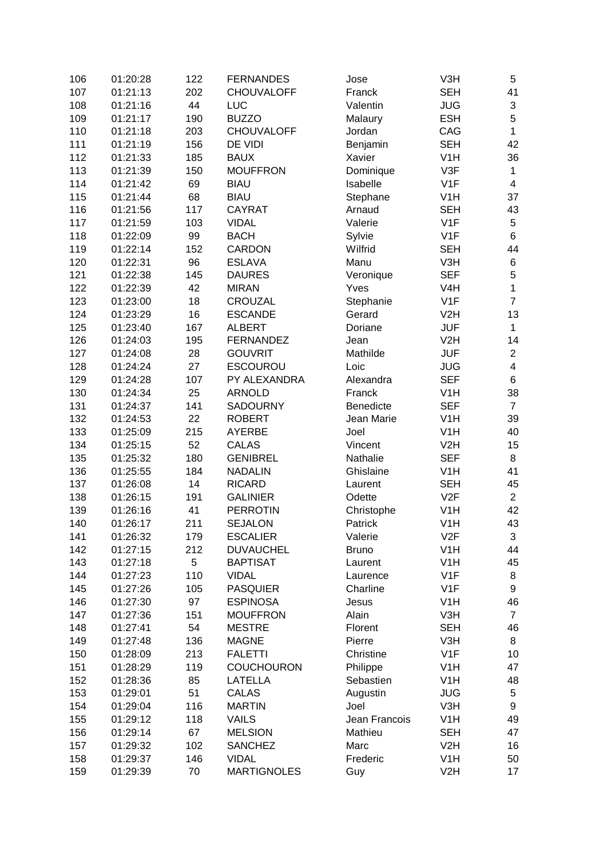| 106 | 01:20:28 | 122 | <b>FERNANDES</b>   | Jose              | V3H              | 5                       |
|-----|----------|-----|--------------------|-------------------|------------------|-------------------------|
| 107 | 01:21:13 | 202 | <b>CHOUVALOFF</b>  | Franck            | <b>SEH</b>       | 41                      |
| 108 | 01:21:16 | 44  | <b>LUC</b>         | Valentin          | <b>JUG</b>       | 3                       |
| 109 | 01:21:17 | 190 | <b>BUZZO</b>       | Malaury           | <b>ESH</b>       | 5                       |
| 110 | 01:21:18 | 203 | <b>CHOUVALOFF</b>  | Jordan            | CAG              | $\mathbf{1}$            |
| 111 | 01:21:19 | 156 | DE VIDI            | Benjamin          | <b>SEH</b>       | 42                      |
| 112 | 01:21:33 | 185 | <b>BAUX</b>        | Xavier            | V <sub>1</sub> H | 36                      |
| 113 | 01:21:39 | 150 | <b>MOUFFRON</b>    | Dominique         | V3F              | $\mathbf 1$             |
| 114 | 01:21:42 | 69  | <b>BIAU</b>        | Isabelle          | V <sub>1</sub> F | $\overline{\mathbf{4}}$ |
| 115 | 01:21:44 | 68  | <b>BIAU</b>        | Stephane          | V <sub>1</sub> H | 37                      |
| 116 | 01:21:56 | 117 | <b>CAYRAT</b>      | Arnaud            | <b>SEH</b>       | 43                      |
| 117 | 01:21:59 | 103 | <b>VIDAL</b>       | Valerie           | V <sub>1</sub> F | 5                       |
| 118 | 01:22:09 | 99  | <b>BACH</b>        | Sylvie            | V <sub>1</sub> F | 6                       |
| 119 | 01:22:14 | 152 | CARDON             | Wilfrid           | <b>SEH</b>       | 44                      |
| 120 | 01:22:31 | 96  | <b>ESLAVA</b>      | Manu              | V3H              | 6                       |
| 121 | 01:22:38 | 145 | <b>DAURES</b>      |                   | <b>SEF</b>       | 5                       |
| 122 | 01:22:39 | 42  | <b>MIRAN</b>       | Veronique<br>Yves | V4H              | $\mathbf{1}$            |
|     |          | 18  |                    |                   | V <sub>1</sub> F | $\overline{7}$          |
| 123 | 01:23:00 |     | CROUZAL            | Stephanie         |                  |                         |
| 124 | 01:23:29 | 16  | <b>ESCANDE</b>     | Gerard            | V <sub>2</sub> H | 13                      |
| 125 | 01:23:40 | 167 | <b>ALBERT</b>      | Doriane           | <b>JUF</b>       | $\mathbf{1}$            |
| 126 | 01:24:03 | 195 | <b>FERNANDEZ</b>   | Jean              | V <sub>2</sub> H | 14                      |
| 127 | 01:24:08 | 28  | <b>GOUVRIT</b>     | Mathilde          | <b>JUF</b>       | $\overline{2}$          |
| 128 | 01:24:24 | 27  | <b>ESCOUROU</b>    | Loic              | <b>JUG</b>       | $\overline{4}$          |
| 129 | 01:24:28 | 107 | PY ALEXANDRA       | Alexandra         | <b>SEF</b>       | 6                       |
| 130 | 01:24:34 | 25  | <b>ARNOLD</b>      | Franck            | V <sub>1</sub> H | 38                      |
| 131 | 01:24:37 | 141 | <b>SADOURNY</b>    | Benedicte         | <b>SEF</b>       | $\overline{7}$          |
| 132 | 01:24:53 | 22  | <b>ROBERT</b>      | Jean Marie        | V <sub>1</sub> H | 39                      |
| 133 | 01:25:09 | 215 | <b>AYERBE</b>      | Joel              | V <sub>1</sub> H | 40                      |
| 134 | 01:25:15 | 52  | <b>CALAS</b>       | Vincent           | V <sub>2</sub> H | 15                      |
| 135 | 01:25:32 | 180 | <b>GENIBREL</b>    | Nathalie          | <b>SEF</b>       | 8                       |
| 136 | 01:25:55 | 184 | <b>NADALIN</b>     | Ghislaine         | V <sub>1</sub> H | 41                      |
| 137 | 01:26:08 | 14  | <b>RICARD</b>      | Laurent           | <b>SEH</b>       | 45                      |
| 138 | 01:26:15 | 191 | <b>GALINIER</b>    | Odette            | V2F              | $\overline{2}$          |
| 139 | 01:26:16 | 41  | <b>PERROTIN</b>    | Christophe        | V <sub>1</sub> H | 42                      |
| 140 | 01:26:17 | 211 | <b>SEJALON</b>     | Patrick           | V <sub>1</sub> H | 43                      |
| 141 | 01:26:32 | 179 | <b>ESCALIER</b>    | Valerie           | V2F              | 3                       |
| 142 | 01:27:15 | 212 | <b>DUVAUCHEL</b>   | <b>Bruno</b>      | V <sub>1</sub> H | 44                      |
| 143 | 01:27:18 | 5   | <b>BAPTISAT</b>    | Laurent           | V <sub>1</sub> H | 45                      |
| 144 | 01:27:23 | 110 | <b>VIDAL</b>       | Laurence          | V <sub>1</sub> F | 8                       |
| 145 | 01:27:26 | 105 | <b>PASQUIER</b>    | Charline          | V <sub>1</sub> F | 9                       |
| 146 | 01:27:30 | 97  | <b>ESPINOSA</b>    | Jesus             | V <sub>1</sub> H | 46                      |
| 147 | 01:27:36 | 151 | <b>MOUFFRON</b>    | Alain             | V3H              | $\overline{7}$          |
| 148 | 01:27:41 | 54  | <b>MESTRE</b>      | Florent           | <b>SEH</b>       | 46                      |
| 149 | 01:27:48 | 136 | <b>MAGNE</b>       | Pierre            | V3H              | 8                       |
| 150 | 01:28:09 | 213 | <b>FALETTI</b>     | Christine         | V <sub>1</sub> F | 10                      |
| 151 | 01:28:29 | 119 | COUCHOURON         | Philippe          | V <sub>1</sub> H | 47                      |
| 152 | 01:28:36 | 85  | <b>LATELLA</b>     | Sebastien         | V <sub>1</sub> H | 48                      |
| 153 | 01:29:01 | 51  | <b>CALAS</b>       | Augustin          | <b>JUG</b>       | 5                       |
|     |          | 116 | <b>MARTIN</b>      | Joel              | V3H              | 9                       |
| 154 | 01:29:04 |     |                    |                   |                  |                         |
| 155 | 01:29:12 | 118 | <b>VAILS</b>       | Jean Francois     | V <sub>1</sub> H | 49                      |
| 156 | 01:29:14 | 67  | <b>MELSION</b>     | Mathieu           | <b>SEH</b>       | 47                      |
| 157 | 01:29:32 | 102 | <b>SANCHEZ</b>     | Marc              | V2H              | 16                      |
| 158 | 01:29:37 | 146 | <b>VIDAL</b>       | Frederic          | V <sub>1</sub> H | 50                      |
| 159 | 01:29:39 | 70  | <b>MARTIGNOLES</b> | Guy               | V <sub>2</sub> H | 17                      |